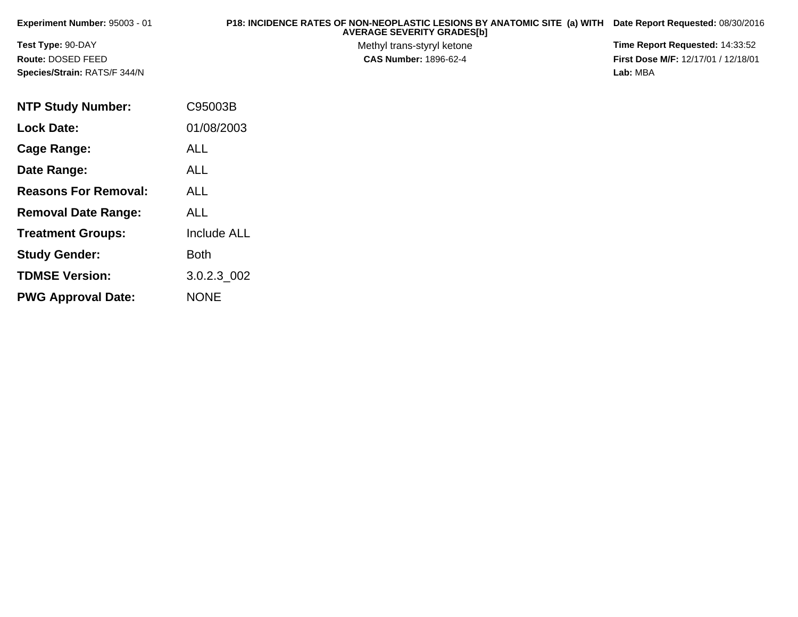| Experiment Number: 95003 - 01       | P18: INCIDENCE RATES OF NON-NEOPLASTIC LESIONS BY ANATOMIC SITE (a) WITH Date Report Requested: 08/30/2016<br><b>AVERAGE SEVERITY GRADES[b]</b> |                                            |
|-------------------------------------|-------------------------------------------------------------------------------------------------------------------------------------------------|--------------------------------------------|
| Test Type: 90-DAY                   | Methyl trans-styryl ketone                                                                                                                      | Time Report Requested: 14:33:52            |
| Route: DOSED FEED                   | <b>CAS Number: 1896-62-4</b>                                                                                                                    | <b>First Dose M/F: 12/17/01 / 12/18/01</b> |
| <b>Species/Strain: RATS/F 344/N</b> |                                                                                                                                                 | Lab: MBA                                   |

| <b>NTP Study Number:</b>    | C95003B            |
|-----------------------------|--------------------|
| <b>Lock Date:</b>           | 01/08/2003         |
| Cage Range:                 | <b>ALL</b>         |
| Date Range:                 | ALL                |
| <b>Reasons For Removal:</b> | ALL.               |
| <b>Removal Date Range:</b>  | ALL                |
| <b>Treatment Groups:</b>    | <b>Include ALL</b> |
| <b>Study Gender:</b>        | Both               |
| <b>TDMSE Version:</b>       | 3.0.2.3_002        |
| <b>PWG Approval Date:</b>   | <b>NONE</b>        |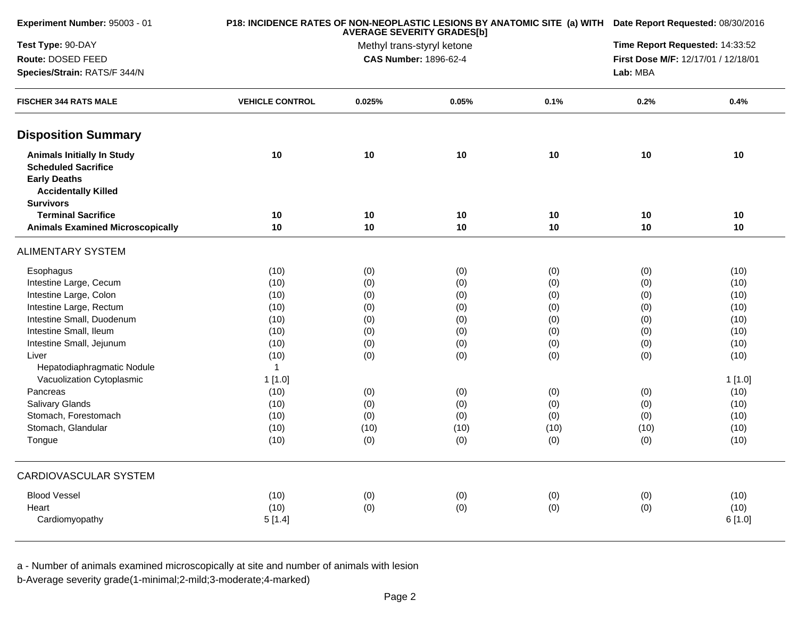| Experiment Number: 95003 - 01                                                                                                            |                        | P18: INCIDENCE RATES OF NON-NEOPLASTIC LESIONS BY ANATOMIC SITE (a) WITH Date Report Requested: 08/30/2016 |       |      |                                     |         |  |
|------------------------------------------------------------------------------------------------------------------------------------------|------------------------|------------------------------------------------------------------------------------------------------------|-------|------|-------------------------------------|---------|--|
| Test Type: 90-DAY                                                                                                                        |                        | Methyl trans-styryl ketone                                                                                 |       |      |                                     |         |  |
| Route: DOSED FEED                                                                                                                        |                        | <b>CAS Number: 1896-62-4</b>                                                                               |       |      | First Dose M/F: 12/17/01 / 12/18/01 |         |  |
| Species/Strain: RATS/F 344/N                                                                                                             |                        |                                                                                                            |       |      | Lab: MBA                            |         |  |
| <b>FISCHER 344 RATS MALE</b>                                                                                                             | <b>VEHICLE CONTROL</b> | 0.025%                                                                                                     | 0.05% | 0.1% | 0.2%                                | 0.4%    |  |
| <b>Disposition Summary</b>                                                                                                               |                        |                                                                                                            |       |      |                                     |         |  |
| <b>Animals Initially In Study</b><br><b>Scheduled Sacrifice</b><br><b>Early Deaths</b><br><b>Accidentally Killed</b><br><b>Survivors</b> | 10                     | $10$                                                                                                       | 10    | 10   | 10                                  | 10      |  |
| <b>Terminal Sacrifice</b>                                                                                                                | 10                     | $10$                                                                                                       | 10    | 10   | 10                                  | 10      |  |
| <b>Animals Examined Microscopically</b>                                                                                                  | 10                     | $10$                                                                                                       | 10    | 10   | 10                                  | 10      |  |
| <b>ALIMENTARY SYSTEM</b>                                                                                                                 |                        |                                                                                                            |       |      |                                     |         |  |
| Esophagus                                                                                                                                | (10)                   | (0)                                                                                                        | (0)   | (0)  | (0)                                 | (10)    |  |
| Intestine Large, Cecum                                                                                                                   | (10)                   | (0)                                                                                                        | (0)   | (0)  | (0)                                 | (10)    |  |
| Intestine Large, Colon                                                                                                                   | (10)                   | (0)                                                                                                        | (0)   | (0)  | (0)                                 | (10)    |  |
| Intestine Large, Rectum                                                                                                                  | (10)                   | (0)                                                                                                        | (0)   | (0)  | (0)                                 | (10)    |  |
| Intestine Small, Duodenum                                                                                                                | (10)                   | (0)                                                                                                        | (0)   | (0)  | (0)                                 | (10)    |  |
| Intestine Small, Ileum                                                                                                                   | (10)                   | (0)                                                                                                        | (0)   | (0)  | (0)                                 | (10)    |  |
| Intestine Small, Jejunum                                                                                                                 | (10)                   | (0)                                                                                                        | (0)   | (0)  | (0)                                 | (10)    |  |
| Liver                                                                                                                                    | (10)                   | (0)                                                                                                        | (0)   | (0)  | (0)                                 | (10)    |  |
| Hepatodiaphragmatic Nodule                                                                                                               | $\overline{1}$         |                                                                                                            |       |      |                                     |         |  |
| Vacuolization Cytoplasmic                                                                                                                | 1[1.0]                 |                                                                                                            |       |      |                                     | 1[1.0]  |  |
| Pancreas                                                                                                                                 | (10)                   | (0)                                                                                                        | (0)   | (0)  | (0)                                 | (10)    |  |
| Salivary Glands                                                                                                                          | (10)                   | (0)                                                                                                        | (0)   | (0)  | (0)                                 | (10)    |  |
| Stomach, Forestomach                                                                                                                     | (10)                   | (0)                                                                                                        | (0)   | (0)  | (0)                                 | (10)    |  |
| Stomach, Glandular                                                                                                                       | (10)                   | (10)                                                                                                       | (10)  | (10) | (10)                                | (10)    |  |
| Tongue                                                                                                                                   | (10)                   | (0)                                                                                                        | (0)   | (0)  | (0)                                 | (10)    |  |
| CARDIOVASCULAR SYSTEM                                                                                                                    |                        |                                                                                                            |       |      |                                     |         |  |
| <b>Blood Vessel</b>                                                                                                                      | (10)                   | (0)                                                                                                        | (0)   | (0)  | (0)                                 | (10)    |  |
| Heart                                                                                                                                    | (10)                   | (0)                                                                                                        | (0)   | (0)  | (0)                                 | (10)    |  |
| Cardiomyopathy                                                                                                                           | 5[1.4]                 |                                                                                                            |       |      |                                     | 6 [1.0] |  |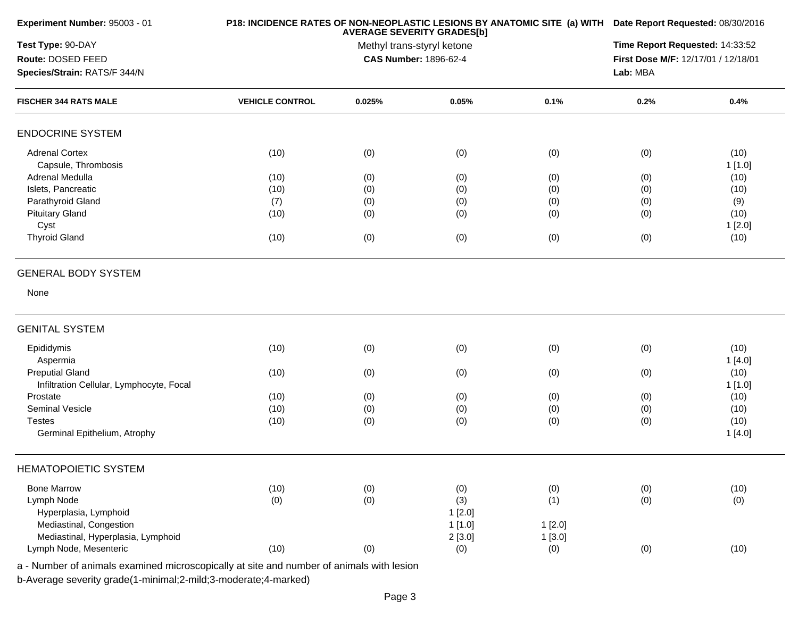| Experiment Number: 95003 - 01                                      |                        | P18: INCIDENCE RATES OF NON-NEOPLASTIC LESIONS BY ANATOMIC SITE (a) WITH Date Report Requested: 08/30/2016 |                                     |        |      |                |  |
|--------------------------------------------------------------------|------------------------|------------------------------------------------------------------------------------------------------------|-------------------------------------|--------|------|----------------|--|
| Test Type: 90-DAY                                                  |                        | Time Report Requested: 14:33:52                                                                            |                                     |        |      |                |  |
| Route: DOSED FEED                                                  |                        | CAS Number: 1896-62-4                                                                                      | First Dose M/F: 12/17/01 / 12/18/01 |        |      |                |  |
| Species/Strain: RATS/F 344/N                                       |                        |                                                                                                            |                                     |        |      |                |  |
| <b>FISCHER 344 RATS MALE</b>                                       | <b>VEHICLE CONTROL</b> | 0.025%                                                                                                     | 0.05%                               | 0.1%   | 0.2% | 0.4%           |  |
| <b>ENDOCRINE SYSTEM</b>                                            |                        |                                                                                                            |                                     |        |      |                |  |
| <b>Adrenal Cortex</b><br>Capsule, Thrombosis                       | (10)                   | (0)                                                                                                        | (0)                                 | (0)    | (0)  | (10)<br>1[1.0] |  |
| Adrenal Medulla                                                    | (10)                   | (0)                                                                                                        | (0)                                 | (0)    | (0)  | (10)           |  |
| Islets, Pancreatic                                                 | (10)                   | (0)                                                                                                        | (0)                                 | (0)    | (0)  | (10)           |  |
| Parathyroid Gland                                                  | (7)                    | (0)                                                                                                        | (0)                                 | (0)    | (0)  | (9)            |  |
| <b>Pituitary Gland</b>                                             | (10)                   | (0)                                                                                                        | (0)                                 | (0)    | (0)  | (10)           |  |
| Cyst                                                               |                        |                                                                                                            |                                     |        |      | 1[2.0]         |  |
| <b>Thyroid Gland</b>                                               | (10)                   | (0)                                                                                                        | (0)                                 | (0)    | (0)  | (10)           |  |
| <b>GENERAL BODY SYSTEM</b>                                         |                        |                                                                                                            |                                     |        |      |                |  |
| None                                                               |                        |                                                                                                            |                                     |        |      |                |  |
| <b>GENITAL SYSTEM</b>                                              |                        |                                                                                                            |                                     |        |      |                |  |
| Epididymis                                                         | (10)                   | (0)                                                                                                        | (0)                                 | (0)    | (0)  | (10)           |  |
| Aspermia                                                           |                        |                                                                                                            |                                     |        |      | 1[4.0]         |  |
| <b>Preputial Gland</b><br>Infiltration Cellular, Lymphocyte, Focal | (10)                   | (0)                                                                                                        | (0)                                 | (0)    | (0)  | (10)<br>1[1.0] |  |
| Prostate                                                           | (10)                   | (0)                                                                                                        | (0)                                 | (0)    | (0)  | (10)           |  |
| Seminal Vesicle                                                    | (10)                   | (0)                                                                                                        | (0)                                 | (0)    | (0)  | (10)           |  |
| <b>Testes</b>                                                      | (10)                   | (0)                                                                                                        | (0)                                 | (0)    | (0)  | (10)           |  |
| Germinal Epithelium, Atrophy                                       |                        |                                                                                                            |                                     |        |      | 1[4.0]         |  |
| <b>HEMATOPOIETIC SYSTEM</b>                                        |                        |                                                                                                            |                                     |        |      |                |  |
| <b>Bone Marrow</b>                                                 | (10)                   | (0)                                                                                                        | (0)                                 | (0)    | (0)  | (10)           |  |
| Lymph Node                                                         | (0)                    | (0)                                                                                                        | (3)                                 | (1)    | (0)  | (0)            |  |
| Hyperplasia, Lymphoid                                              |                        |                                                                                                            | 1[2.0]                              |        |      |                |  |
| Mediastinal, Congestion                                            |                        |                                                                                                            | 1[1.0]                              | 1[2.0] |      |                |  |
| Mediastinal, Hyperplasia, Lymphoid                                 |                        |                                                                                                            | 2[3.0]                              | 1[3.0] |      |                |  |
| Lymph Node, Mesenteric                                             | (10)                   | (0)                                                                                                        | (0)                                 | (0)    | (0)  | (10)           |  |
|                                                                    |                        |                                                                                                            |                                     |        |      |                |  |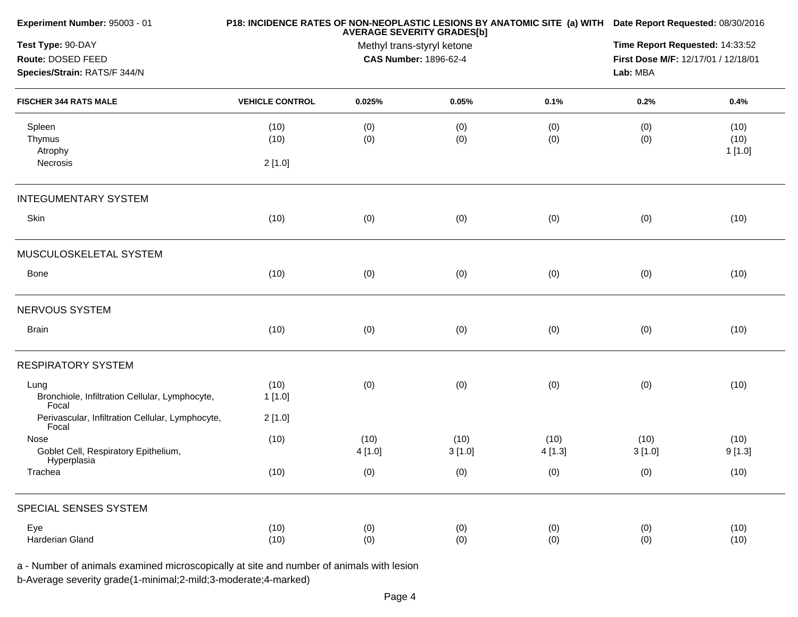| Experiment Number: 95003 - 01                             |                        | P18: INCIDENCE RATES OF NON-NEOPLASTIC LESIONS BY ANATOMIC SITE (a) WITH Date Report Requested: 08/30/2016<br><b>AVERAGE SEVERITY GRADES[b]</b><br>Methyl trans-styryl ketone |        |        |                                     |        |
|-----------------------------------------------------------|------------------------|-------------------------------------------------------------------------------------------------------------------------------------------------------------------------------|--------|--------|-------------------------------------|--------|
| Test Type: 90-DAY                                         |                        |                                                                                                                                                                               |        |        |                                     |        |
| Route: DOSED FEED                                         |                        | CAS Number: 1896-62-4                                                                                                                                                         |        |        | First Dose M/F: 12/17/01 / 12/18/01 |        |
| Species/Strain: RATS/F 344/N                              |                        |                                                                                                                                                                               |        |        | Lab: MBA                            |        |
| <b>FISCHER 344 RATS MALE</b>                              | <b>VEHICLE CONTROL</b> | 0.025%                                                                                                                                                                        | 0.05%  | 0.1%   | 0.2%                                | 0.4%   |
| Spleen                                                    | (10)                   | (0)                                                                                                                                                                           | (0)    | (0)    | (0)                                 | (10)   |
| Thymus                                                    | (10)                   | (0)                                                                                                                                                                           | (0)    | (0)    | (0)                                 | (10)   |
| Atrophy                                                   |                        |                                                                                                                                                                               |        |        |                                     | 1[1.0] |
| Necrosis                                                  | 2[1.0]                 |                                                                                                                                                                               |        |        |                                     |        |
| <b>INTEGUMENTARY SYSTEM</b>                               |                        |                                                                                                                                                                               |        |        |                                     |        |
| Skin                                                      | (10)                   | (0)                                                                                                                                                                           | (0)    | (0)    | (0)                                 | (10)   |
| MUSCULOSKELETAL SYSTEM                                    |                        |                                                                                                                                                                               |        |        |                                     |        |
| Bone                                                      | (10)                   | (0)                                                                                                                                                                           | (0)    | (0)    | (0)                                 | (10)   |
| NERVOUS SYSTEM                                            |                        |                                                                                                                                                                               |        |        |                                     |        |
| <b>Brain</b>                                              | (10)                   | (0)                                                                                                                                                                           | (0)    | (0)    | (0)                                 | (10)   |
| <b>RESPIRATORY SYSTEM</b>                                 |                        |                                                                                                                                                                               |        |        |                                     |        |
| Lung                                                      | (10)                   | (0)                                                                                                                                                                           | (0)    | (0)    | (0)                                 | (10)   |
| Bronchiole, Infiltration Cellular, Lymphocyte,<br>Focal   | 1[1.0]                 |                                                                                                                                                                               |        |        |                                     |        |
| Perivascular, Infiltration Cellular, Lymphocyte,<br>Focal | 2[1.0]                 |                                                                                                                                                                               |        |        |                                     |        |
| Nose                                                      | (10)                   | (10)                                                                                                                                                                          | (10)   | (10)   | (10)                                | (10)   |
| Goblet Cell, Respiratory Epithelium,<br>Hyperplasia       |                        | 4[1.0]                                                                                                                                                                        | 3[1.0] | 4[1.3] | 3[1.0]                              | 9[1.3] |
| Trachea                                                   | (10)                   | (0)                                                                                                                                                                           | (0)    | (0)    | (0)                                 | (10)   |
| SPECIAL SENSES SYSTEM                                     |                        |                                                                                                                                                                               |        |        |                                     |        |
| Eye                                                       | (10)                   | (0)                                                                                                                                                                           | (0)    | (0)    | (0)                                 | (10)   |
| Harderian Gland                                           | (10)                   | (0)                                                                                                                                                                           | (0)    | (0)    | (0)                                 | (10)   |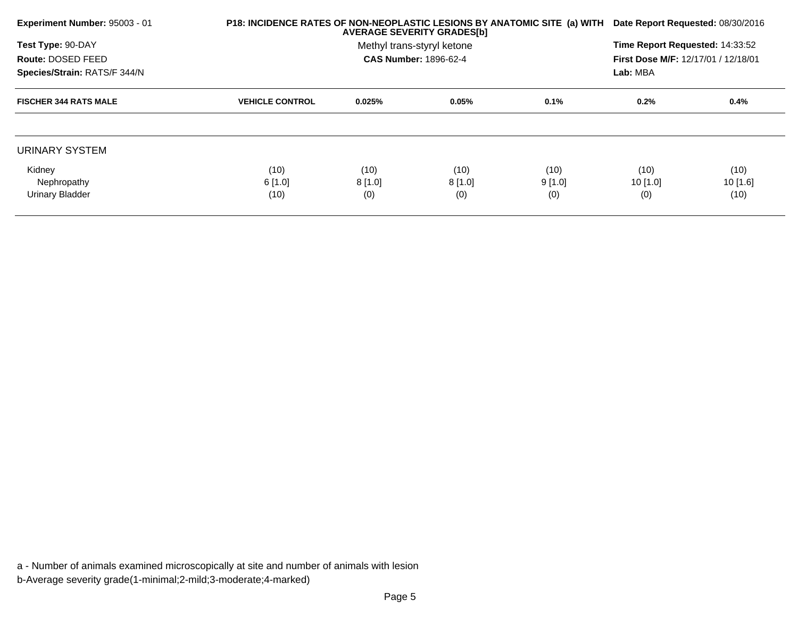| <b>Experiment Number: 95003 - 01</b> |                        | P18: INCIDENCE RATES OF NON-NEOPLASTIC LESIONS BY ANATOMIC SITE (a) WITH Date Report Requested: 08/30/2016<br><b>AVERAGE SEVERITY GRADES[b]</b> |                              |        |                                     |            |  |
|--------------------------------------|------------------------|-------------------------------------------------------------------------------------------------------------------------------------------------|------------------------------|--------|-------------------------------------|------------|--|
| Test Type: 90-DAY                    |                        |                                                                                                                                                 | Methyl trans-styryl ketone   |        | Time Report Requested: 14:33:52     |            |  |
| Route: DOSED FEED                    |                        |                                                                                                                                                 | <b>CAS Number: 1896-62-4</b> |        | First Dose M/F: 12/17/01 / 12/18/01 |            |  |
| Species/Strain: RATS/F 344/N         |                        |                                                                                                                                                 |                              |        | Lab: MBA                            |            |  |
| <b>FISCHER 344 RATS MALE</b>         | <b>VEHICLE CONTROL</b> | 0.025%                                                                                                                                          | 0.05%                        | 0.1%   | $0.2\%$                             | 0.4%       |  |
|                                      |                        |                                                                                                                                                 |                              |        |                                     |            |  |
| URINARY SYSTEM                       |                        |                                                                                                                                                 |                              |        |                                     |            |  |
| Kidney                               | (10)                   | (10)                                                                                                                                            | (10)                         | (10)   | (10)                                | (10)       |  |
| Nephropathy                          | 6[1.0]                 | 8[1.0]                                                                                                                                          | 8[1.0]                       | 9[1.0] | $10$ [1.0]                          | $10$ [1.6] |  |
| Urinary Bladder                      | (10)                   | (0)                                                                                                                                             | (0)                          | (0)    | (0)                                 | (10)       |  |
|                                      |                        |                                                                                                                                                 |                              |        |                                     |            |  |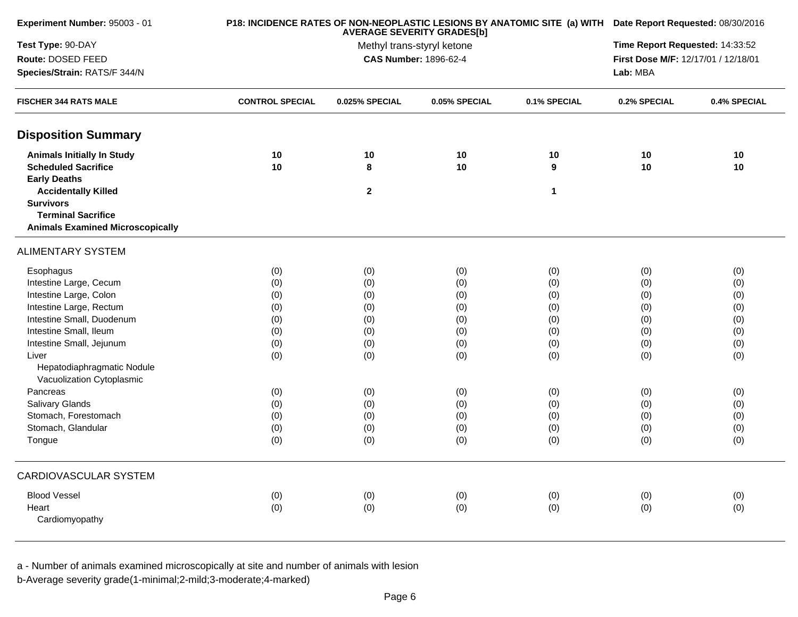| Experiment Number: 95003 - 01           |                        | P18: INCIDENCE RATES OF NON-NEOPLASTIC LESIONS BY ANATOMIC SITE (a) WITH Date Report Requested: 08/30/2016 |               |              |                                     |              |
|-----------------------------------------|------------------------|------------------------------------------------------------------------------------------------------------|---------------|--------------|-------------------------------------|--------------|
| Test Type: 90-DAY                       |                        | Time Report Requested: 14:33:52                                                                            |               |              |                                     |              |
| Route: DOSED FEED                       |                        | Methyl trans-styryl ketone<br><b>CAS Number: 1896-62-4</b>                                                 |               |              | First Dose M/F: 12/17/01 / 12/18/01 |              |
| Species/Strain: RATS/F 344/N            |                        |                                                                                                            |               |              | Lab: MBA                            |              |
| <b>FISCHER 344 RATS MALE</b>            | <b>CONTROL SPECIAL</b> | 0.025% SPECIAL                                                                                             | 0.05% SPECIAL | 0.1% SPECIAL | 0.2% SPECIAL                        | 0.4% SPECIAL |
| <b>Disposition Summary</b>              |                        |                                                                                                            |               |              |                                     |              |
| <b>Animals Initially In Study</b>       | 10                     | 10                                                                                                         | 10            | 10           | 10                                  | 10           |
| <b>Scheduled Sacrifice</b>              | 10                     | 8                                                                                                          | 10            | 9            | 10                                  | 10           |
| <b>Early Deaths</b>                     |                        |                                                                                                            |               |              |                                     |              |
| <b>Accidentally Killed</b>              |                        | $\boldsymbol{2}$                                                                                           |               | $\mathbf{1}$ |                                     |              |
| <b>Survivors</b>                        |                        |                                                                                                            |               |              |                                     |              |
| <b>Terminal Sacrifice</b>               |                        |                                                                                                            |               |              |                                     |              |
| <b>Animals Examined Microscopically</b> |                        |                                                                                                            |               |              |                                     |              |
| <b>ALIMENTARY SYSTEM</b>                |                        |                                                                                                            |               |              |                                     |              |
| Esophagus                               | (0)                    | (0)                                                                                                        | (0)           | (0)          | (0)                                 | (0)          |
| Intestine Large, Cecum                  | (0)                    | (0)                                                                                                        | (0)           | (0)          | (0)                                 | (0)          |
| Intestine Large, Colon                  | (0)                    | (0)                                                                                                        | (0)           | (0)          | (0)                                 | (0)          |
| Intestine Large, Rectum                 | (0)                    | (0)                                                                                                        | (0)           | (0)          | (0)                                 | (0)          |
| Intestine Small, Duodenum               | (0)                    | (0)                                                                                                        | (0)           | (0)          | (0)                                 | (0)          |
| Intestine Small, Ileum                  | (0)                    | (0)                                                                                                        | (0)           | (0)          | (0)                                 | (0)          |
| Intestine Small, Jejunum                | (0)                    | (0)                                                                                                        | (0)           | (0)          | (0)                                 | (0)          |
| Liver                                   | (0)                    | (0)                                                                                                        | (0)           | (0)          | (0)                                 | (0)          |
| Hepatodiaphragmatic Nodule              |                        |                                                                                                            |               |              |                                     |              |
| Vacuolization Cytoplasmic               |                        |                                                                                                            |               |              |                                     |              |
| Pancreas                                | (0)                    | (0)                                                                                                        | (0)           | (0)          | (0)                                 | (0)          |
| Salivary Glands                         | (0)                    | (0)                                                                                                        | (0)           | (0)          | (0)                                 | (0)          |
| Stomach, Forestomach                    | (0)                    | (0)                                                                                                        | (0)           | (0)          | (0)                                 | (0)          |
| Stomach, Glandular                      | (0)                    | (0)                                                                                                        | (0)           | (0)          | (0)                                 | (0)          |
| Tongue                                  | (0)                    | (0)                                                                                                        | (0)           | (0)          | (0)                                 | (0)          |
| CARDIOVASCULAR SYSTEM                   |                        |                                                                                                            |               |              |                                     |              |
| <b>Blood Vessel</b>                     | (0)                    | (0)                                                                                                        | (0)           | (0)          | (0)                                 | (0)          |
| Heart                                   | (0)                    | (0)                                                                                                        | (0)           | (0)          | (0)                                 | (0)          |
| Cardiomyopathy                          |                        |                                                                                                            |               |              |                                     |              |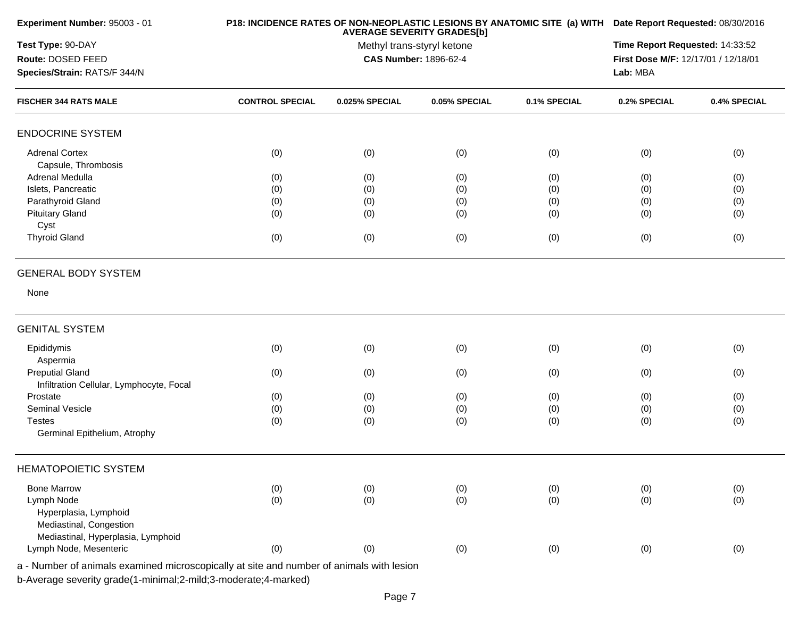| Experiment Number: 95003 - 01                                                            |                        | P18: INCIDENCE RATES OF NON-NEOPLASTIC LESIONS BY ANATOMIC SITE (a) WITH Date Report Requested: 08/30/2016<br>Time Report Requested: 14:33:52 |               |              |              |              |
|------------------------------------------------------------------------------------------|------------------------|-----------------------------------------------------------------------------------------------------------------------------------------------|---------------|--------------|--------------|--------------|
| Test Type: 90-DAY                                                                        |                        |                                                                                                                                               |               |              |              |              |
| Route: DOSED FEED                                                                        |                        | First Dose M/F: 12/17/01 / 12/18/01                                                                                                           |               |              |              |              |
| Species/Strain: RATS/F 344/N                                                             |                        |                                                                                                                                               |               |              | Lab: MBA     |              |
| <b>FISCHER 344 RATS MALE</b>                                                             | <b>CONTROL SPECIAL</b> | 0.025% SPECIAL                                                                                                                                | 0.05% SPECIAL | 0.1% SPECIAL | 0.2% SPECIAL | 0.4% SPECIAL |
| <b>ENDOCRINE SYSTEM</b>                                                                  |                        |                                                                                                                                               |               |              |              |              |
| <b>Adrenal Cortex</b>                                                                    | (0)                    | (0)                                                                                                                                           | (0)           | (0)          | (0)          | (0)          |
| Capsule, Thrombosis                                                                      |                        |                                                                                                                                               |               |              |              |              |
| Adrenal Medulla                                                                          | (0)                    | (0)                                                                                                                                           | (0)           | (0)          | (0)          | (0)          |
| Islets, Pancreatic                                                                       | (0)                    | (0)                                                                                                                                           | (0)           | (0)          | (0)          | (0)          |
| Parathyroid Gland                                                                        | (0)                    | (0)                                                                                                                                           | (0)           | (0)          | (0)          | (0)          |
| <b>Pituitary Gland</b>                                                                   | (0)                    | (0)                                                                                                                                           | (0)           | (0)          | (0)          | (0)          |
| Cyst                                                                                     |                        |                                                                                                                                               |               |              |              |              |
| <b>Thyroid Gland</b>                                                                     | (0)                    | (0)                                                                                                                                           | (0)           | (0)          | (0)          | (0)          |
| <b>GENERAL BODY SYSTEM</b>                                                               |                        |                                                                                                                                               |               |              |              |              |
| None                                                                                     |                        |                                                                                                                                               |               |              |              |              |
| <b>GENITAL SYSTEM</b>                                                                    |                        |                                                                                                                                               |               |              |              |              |
| Epididymis                                                                               | (0)                    | (0)                                                                                                                                           | (0)           | (0)          | (0)          | (0)          |
| Aspermia                                                                                 |                        |                                                                                                                                               |               |              |              |              |
| <b>Preputial Gland</b>                                                                   | (0)                    | (0)                                                                                                                                           | (0)           | (0)          | (0)          | (0)          |
| Infiltration Cellular, Lymphocyte, Focal                                                 |                        |                                                                                                                                               |               |              |              |              |
| Prostate                                                                                 | (0)                    | (0)                                                                                                                                           | (0)           | (0)          | (0)          | (0)          |
| <b>Seminal Vesicle</b>                                                                   |                        |                                                                                                                                               |               |              |              |              |
| <b>Testes</b>                                                                            | (0)                    | (0)                                                                                                                                           | (0)           | (0)          | (0)          | (0)          |
| Germinal Epithelium, Atrophy                                                             | (0)                    | (0)                                                                                                                                           | (0)           | (0)          | (0)          | (0)          |
| <b>HEMATOPOIETIC SYSTEM</b>                                                              |                        |                                                                                                                                               |               |              |              |              |
| <b>Bone Marrow</b>                                                                       | (0)                    | (0)                                                                                                                                           | (0)           | (0)          | (0)          | (0)          |
| Lymph Node                                                                               | (0)                    | (0)                                                                                                                                           | (0)           | (0)          | (0)          | (0)          |
| Hyperplasia, Lymphoid                                                                    |                        |                                                                                                                                               |               |              |              |              |
| Mediastinal, Congestion                                                                  |                        |                                                                                                                                               |               |              |              |              |
| Mediastinal, Hyperplasia, Lymphoid                                                       |                        |                                                                                                                                               |               |              |              |              |
| Lymph Node, Mesenteric                                                                   | (0)                    | (0)                                                                                                                                           | (0)           | (0)          | (0)          | (0)          |
| a - Number of animals examined microscopically at site and number of animals with lesion |                        |                                                                                                                                               |               |              |              |              |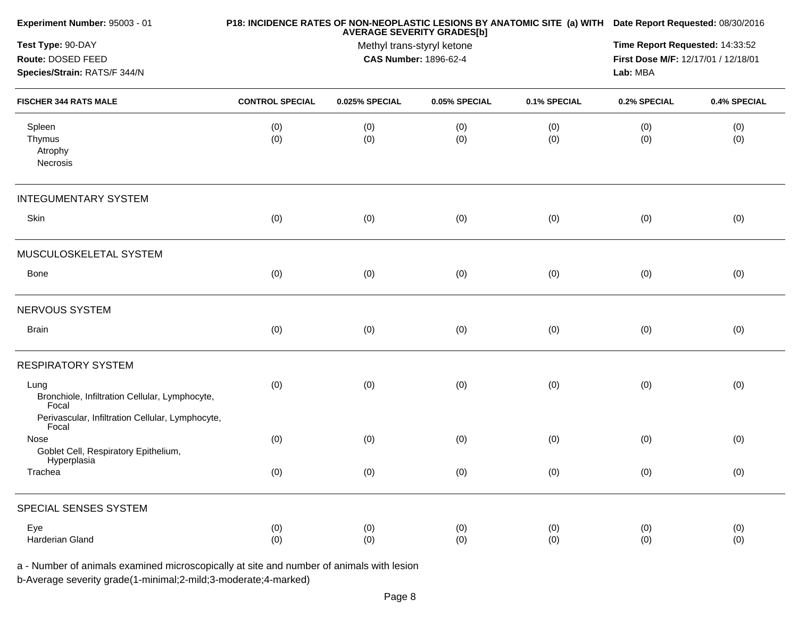| Experiment Number: 95003 - 01                                                                                       |                        | <b>AVERAGE SEVERITY GRADES[b]</b>                          | P18: INCIDENCE RATES OF NON-NEOPLASTIC LESIONS BY ANATOMIC SITE (a) WITH Date Report Requested: 08/30/2016 |              |              |              |
|---------------------------------------------------------------------------------------------------------------------|------------------------|------------------------------------------------------------|------------------------------------------------------------------------------------------------------------|--------------|--------------|--------------|
| Test Type: 90-DAY<br>Route: DOSED FEED<br>Species/Strain: RATS/F 344/N                                              |                        | Methyl trans-styryl ketone<br><b>CAS Number: 1896-62-4</b> | Time Report Requested: 14:33:52<br>First Dose M/F: 12/17/01 / 12/18/01<br>Lab: MBA                         |              |              |              |
|                                                                                                                     |                        |                                                            |                                                                                                            |              |              |              |
| <b>FISCHER 344 RATS MALE</b>                                                                                        | <b>CONTROL SPECIAL</b> | 0.025% SPECIAL                                             | 0.05% SPECIAL                                                                                              | 0.1% SPECIAL | 0.2% SPECIAL | 0.4% SPECIAL |
| Spleen<br>Thymus<br>Atrophy<br>Necrosis                                                                             | (0)<br>(0)             | (0)<br>(0)                                                 | (0)<br>(0)                                                                                                 | (0)<br>(0)   | (0)<br>(0)   | (0)<br>(0)   |
| <b>INTEGUMENTARY SYSTEM</b>                                                                                         |                        |                                                            |                                                                                                            |              |              |              |
| Skin                                                                                                                | (0)                    | (0)                                                        | (0)                                                                                                        | (0)          | (0)          | (0)          |
| MUSCULOSKELETAL SYSTEM                                                                                              |                        |                                                            |                                                                                                            |              |              |              |
| Bone                                                                                                                | (0)                    | (0)                                                        | (0)                                                                                                        | (0)          | (0)          | (0)          |
| NERVOUS SYSTEM                                                                                                      |                        |                                                            |                                                                                                            |              |              |              |
| <b>Brain</b>                                                                                                        | (0)                    | (0)                                                        | (0)                                                                                                        | (0)          | (0)          | (0)          |
| <b>RESPIRATORY SYSTEM</b>                                                                                           |                        |                                                            |                                                                                                            |              |              |              |
| Lung<br>Bronchiole, Infiltration Cellular, Lymphocyte,<br>Focal<br>Perivascular, Infiltration Cellular, Lymphocyte, | (0)                    | (0)                                                        | (0)                                                                                                        | (0)          | (0)          | (0)          |
| Focal<br>Nose                                                                                                       | (0)                    | (0)                                                        | (0)                                                                                                        | (0)          | (0)          | (0)          |
| Goblet Cell, Respiratory Epithelium,<br>Hyperplasia<br>Trachea                                                      | (0)                    | (0)                                                        | (0)                                                                                                        | (0)          | (0)          | (0)          |
| SPECIAL SENSES SYSTEM                                                                                               |                        |                                                            |                                                                                                            |              |              |              |
| Eye<br>Harderian Gland                                                                                              | (0)<br>(0)             | (0)<br>(0)                                                 | (0)<br>(0)                                                                                                 | (0)<br>(0)   | (0)<br>(0)   | (0)<br>(0)   |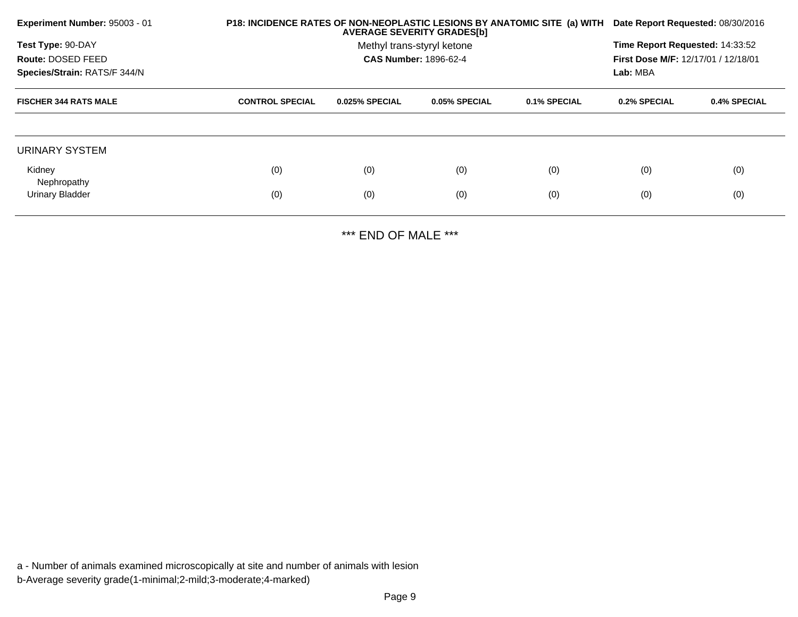| Experiment Number: 95003 - 01 |                        | P18: INCIDENCE RATES OF NON-NEOPLASTIC LESIONS BY ANATOMIC SITE (a) WITH<br><b>AVERAGE SEVERITY GRADES[b]</b> |                              |              |                                 |                                            |  |  |
|-------------------------------|------------------------|---------------------------------------------------------------------------------------------------------------|------------------------------|--------------|---------------------------------|--------------------------------------------|--|--|
| Test Type: 90-DAY             |                        |                                                                                                               | Methyl trans-styryl ketone   |              | Time Report Requested: 14:33:52 |                                            |  |  |
| Route: DOSED FEED             |                        |                                                                                                               | <b>CAS Number: 1896-62-4</b> |              |                                 | <b>First Dose M/F: 12/17/01 / 12/18/01</b> |  |  |
| Species/Strain: RATS/F 344/N  |                        |                                                                                                               |                              |              | Lab: MBA                        |                                            |  |  |
| <b>FISCHER 344 RATS MALE</b>  | <b>CONTROL SPECIAL</b> | 0.025% SPECIAL                                                                                                | 0.05% SPECIAL                | 0.1% SPECIAL | 0.2% SPECIAL                    | 0.4% SPECIAL                               |  |  |
|                               |                        |                                                                                                               |                              |              |                                 |                                            |  |  |
| URINARY SYSTEM                |                        |                                                                                                               |                              |              |                                 |                                            |  |  |
| Kidney<br>Nephropathy         | (0)                    | (0)                                                                                                           | (0)                          | (0)          | (0)                             | (0)                                        |  |  |
| Urinary Bladder               | (0)                    | (0)                                                                                                           | (0)                          | (0)          | (0)                             | (0)                                        |  |  |
|                               |                        |                                                                                                               |                              |              |                                 |                                            |  |  |

\*\*\* END OF MALE \*\*\*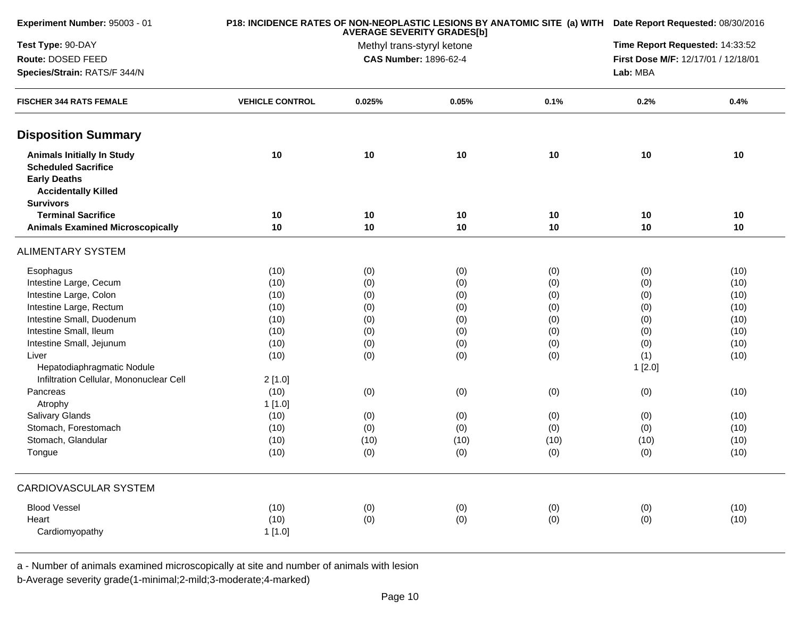| Experiment Number: 95003 - 01                                                                                                                                                                                                                                                                                                                                   |                                                                                                                          | P18: INCIDENCE RATES OF NON-NEOPLASTIC LESIONS BY ANATOMIC SITE (a) WITH Date Report Requested: 08/30/2016<br><b>AVERAGE SEVERITY GRADES[b]</b> |                                                                                          |                                                                                          |                                                                                                    |                                                                                                      |  |
|-----------------------------------------------------------------------------------------------------------------------------------------------------------------------------------------------------------------------------------------------------------------------------------------------------------------------------------------------------------------|--------------------------------------------------------------------------------------------------------------------------|-------------------------------------------------------------------------------------------------------------------------------------------------|------------------------------------------------------------------------------------------|------------------------------------------------------------------------------------------|----------------------------------------------------------------------------------------------------|------------------------------------------------------------------------------------------------------|--|
| Test Type: 90-DAY                                                                                                                                                                                                                                                                                                                                               |                                                                                                                          | Time Report Requested: 14:33:52                                                                                                                 |                                                                                          |                                                                                          |                                                                                                    |                                                                                                      |  |
| Route: DOSED FEED                                                                                                                                                                                                                                                                                                                                               |                                                                                                                          | <b>CAS Number: 1896-62-4</b>                                                                                                                    |                                                                                          |                                                                                          | First Dose M/F: 12/17/01 / 12/18/01                                                                |                                                                                                      |  |
| Species/Strain: RATS/F 344/N                                                                                                                                                                                                                                                                                                                                    |                                                                                                                          |                                                                                                                                                 |                                                                                          |                                                                                          | Lab: MBA                                                                                           |                                                                                                      |  |
| <b>FISCHER 344 RATS FEMALE</b>                                                                                                                                                                                                                                                                                                                                  | <b>VEHICLE CONTROL</b>                                                                                                   | 0.025%                                                                                                                                          | 0.05%                                                                                    | 0.1%                                                                                     | 0.2%                                                                                               | 0.4%                                                                                                 |  |
| <b>Disposition Summary</b>                                                                                                                                                                                                                                                                                                                                      |                                                                                                                          |                                                                                                                                                 |                                                                                          |                                                                                          |                                                                                                    |                                                                                                      |  |
| <b>Animals Initially In Study</b><br><b>Scheduled Sacrifice</b><br><b>Early Deaths</b><br><b>Accidentally Killed</b><br><b>Survivors</b>                                                                                                                                                                                                                        | 10                                                                                                                       | 10                                                                                                                                              | 10                                                                                       | 10                                                                                       | 10                                                                                                 | 10                                                                                                   |  |
| <b>Terminal Sacrifice</b>                                                                                                                                                                                                                                                                                                                                       | 10                                                                                                                       | 10                                                                                                                                              | 10                                                                                       | 10                                                                                       | 10                                                                                                 | 10                                                                                                   |  |
| <b>Animals Examined Microscopically</b>                                                                                                                                                                                                                                                                                                                         | 10                                                                                                                       | 10                                                                                                                                              | 10                                                                                       | 10                                                                                       | 10                                                                                                 | 10                                                                                                   |  |
| <b>ALIMENTARY SYSTEM</b>                                                                                                                                                                                                                                                                                                                                        |                                                                                                                          |                                                                                                                                                 |                                                                                          |                                                                                          |                                                                                                    |                                                                                                      |  |
| Esophagus<br>Intestine Large, Cecum<br>Intestine Large, Colon<br>Intestine Large, Rectum<br>Intestine Small, Duodenum<br>Intestine Small, Ileum<br>Intestine Small, Jejunum<br>Liver<br>Hepatodiaphragmatic Nodule<br>Infiltration Cellular, Mononuclear Cell<br>Pancreas<br>Atrophy<br>Salivary Glands<br>Stomach, Forestomach<br>Stomach, Glandular<br>Tongue | (10)<br>(10)<br>(10)<br>(10)<br>(10)<br>(10)<br>(10)<br>(10)<br>2[1.0]<br>(10)<br>1[1.0]<br>(10)<br>(10)<br>(10)<br>(10) | (0)<br>(0)<br>(0)<br>(0)<br>(0)<br>(0)<br>(0)<br>(0)<br>(0)<br>(0)<br>(0)<br>(10)<br>(0)                                                        | (0)<br>(0)<br>(0)<br>(0)<br>(0)<br>(0)<br>(0)<br>(0)<br>(0)<br>(0)<br>(0)<br>(10)<br>(0) | (0)<br>(0)<br>(0)<br>(0)<br>(0)<br>(0)<br>(0)<br>(0)<br>(0)<br>(0)<br>(0)<br>(10)<br>(0) | (0)<br>(0)<br>(0)<br>(0)<br>(0)<br>(0)<br>(0)<br>(1)<br>1[2.0]<br>(0)<br>(0)<br>(0)<br>(10)<br>(0) | (10)<br>(10)<br>(10)<br>(10)<br>(10)<br>(10)<br>(10)<br>(10)<br>(10)<br>(10)<br>(10)<br>(10)<br>(10) |  |
| CARDIOVASCULAR SYSTEM                                                                                                                                                                                                                                                                                                                                           |                                                                                                                          |                                                                                                                                                 |                                                                                          |                                                                                          |                                                                                                    |                                                                                                      |  |
| <b>Blood Vessel</b><br>Heart<br>Cardiomyopathy                                                                                                                                                                                                                                                                                                                  | (10)<br>(10)<br>1[1.0]                                                                                                   | (0)<br>(0)                                                                                                                                      | (0)<br>(0)                                                                               | (0)<br>(0)                                                                               | (0)<br>(0)                                                                                         | (10)<br>(10)                                                                                         |  |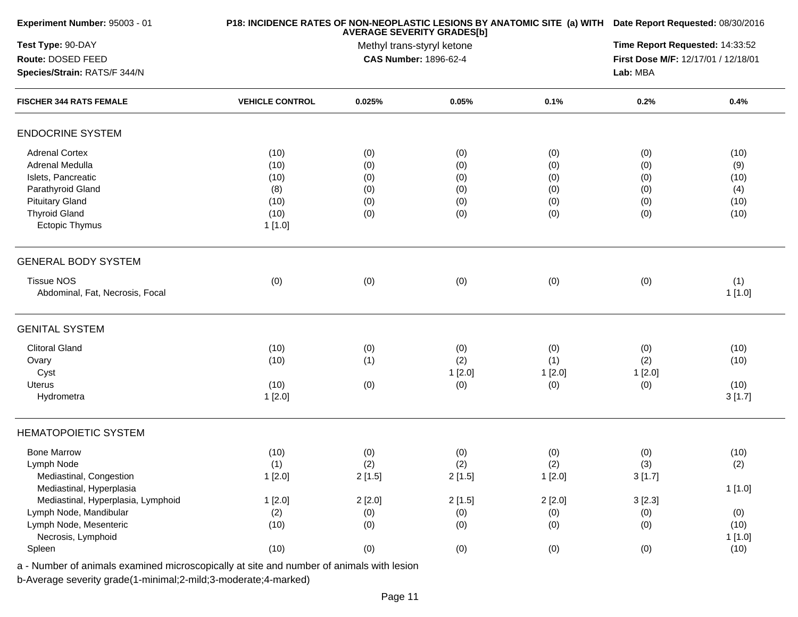| Experiment Number: 95003 - 01                                                                                                                                  |                                                       | P18: INCIDENCE RATES OF NON-NEOPLASTIC LESIONS BY ANATOMIC SITE (a) WITH Date Report Requested: 08/30/2016 |                                        |                                        |                                        |                                            |  |
|----------------------------------------------------------------------------------------------------------------------------------------------------------------|-------------------------------------------------------|------------------------------------------------------------------------------------------------------------|----------------------------------------|----------------------------------------|----------------------------------------|--------------------------------------------|--|
| Test Type: 90-DAY<br>Route: DOSED FEED                                                                                                                         |                                                       | Methyl trans-styryl ketone<br><b>CAS Number: 1896-62-4</b>                                                 |                                        |                                        |                                        |                                            |  |
| Species/Strain: RATS/F 344/N                                                                                                                                   |                                                       |                                                                                                            |                                        |                                        |                                        |                                            |  |
| <b>FISCHER 344 RATS FEMALE</b>                                                                                                                                 | <b>VEHICLE CONTROL</b>                                | 0.025%                                                                                                     | 0.05%                                  | 0.1%                                   | 0.2%                                   | 0.4%                                       |  |
| <b>ENDOCRINE SYSTEM</b>                                                                                                                                        |                                                       |                                                                                                            |                                        |                                        |                                        |                                            |  |
| <b>Adrenal Cortex</b><br>Adrenal Medulla<br>Islets, Pancreatic<br>Parathyroid Gland<br><b>Pituitary Gland</b><br><b>Thyroid Gland</b><br><b>Ectopic Thymus</b> | (10)<br>(10)<br>(10)<br>(8)<br>(10)<br>(10)<br>1[1.0] | (0)<br>(0)<br>(0)<br>(0)<br>(0)<br>(0)                                                                     | (0)<br>(0)<br>(0)<br>(0)<br>(0)<br>(0) | (0)<br>(0)<br>(0)<br>(0)<br>(0)<br>(0) | (0)<br>(0)<br>(0)<br>(0)<br>(0)<br>(0) | (10)<br>(9)<br>(10)<br>(4)<br>(10)<br>(10) |  |
| <b>GENERAL BODY SYSTEM</b>                                                                                                                                     |                                                       |                                                                                                            |                                        |                                        |                                        |                                            |  |
| <b>Tissue NOS</b><br>Abdominal, Fat, Necrosis, Focal                                                                                                           | (0)                                                   | (0)                                                                                                        | (0)                                    | (0)                                    | (0)                                    | (1)<br>1[1.0]                              |  |
| <b>GENITAL SYSTEM</b>                                                                                                                                          |                                                       |                                                                                                            |                                        |                                        |                                        |                                            |  |
| <b>Clitoral Gland</b><br>Ovary<br>Cyst<br><b>Uterus</b><br>Hydrometra                                                                                          | (10)<br>(10)<br>(10)<br>1[2.0]                        | (0)<br>(1)<br>(0)                                                                                          | (0)<br>(2)<br>1[2.0]<br>(0)            | (0)<br>(1)<br>1[2.0]<br>(0)            | (0)<br>(2)<br>1[2.0]<br>(0)            | (10)<br>(10)<br>(10)<br>3[1.7]             |  |
| <b>HEMATOPOIETIC SYSTEM</b>                                                                                                                                    |                                                       |                                                                                                            |                                        |                                        |                                        |                                            |  |
| <b>Bone Marrow</b><br>Lymph Node<br>Mediastinal, Congestion<br>Mediastinal, Hyperplasia                                                                        | (10)<br>(1)<br>1[2.0]                                 | (0)<br>(2)<br>2[1.5]                                                                                       | (0)<br>(2)<br>2[1.5]                   | (0)<br>(2)<br>1[2.0]                   | (0)<br>(3)<br>3[1.7]                   | (10)<br>(2)<br>1 [1.0]                     |  |
| Mediastinal, Hyperplasia, Lymphoid<br>Lymph Node, Mandibular<br>Lymph Node, Mesenteric<br>Necrosis, Lymphoid                                                   | 1[2.0]<br>(2)<br>(10)                                 | 2[2.0]<br>(0)<br>(0)                                                                                       | 2[1.5]<br>(0)<br>(0)                   | 2[2.0]<br>(0)<br>(0)                   | 3[2.3]<br>(0)<br>(0)                   | (0)<br>(10)<br>1[1.0]                      |  |
| Spleen                                                                                                                                                         | (10)                                                  | (0)                                                                                                        | (0)                                    | (0)                                    | (0)                                    | (10)                                       |  |
|                                                                                                                                                                |                                                       |                                                                                                            |                                        |                                        |                                        |                                            |  |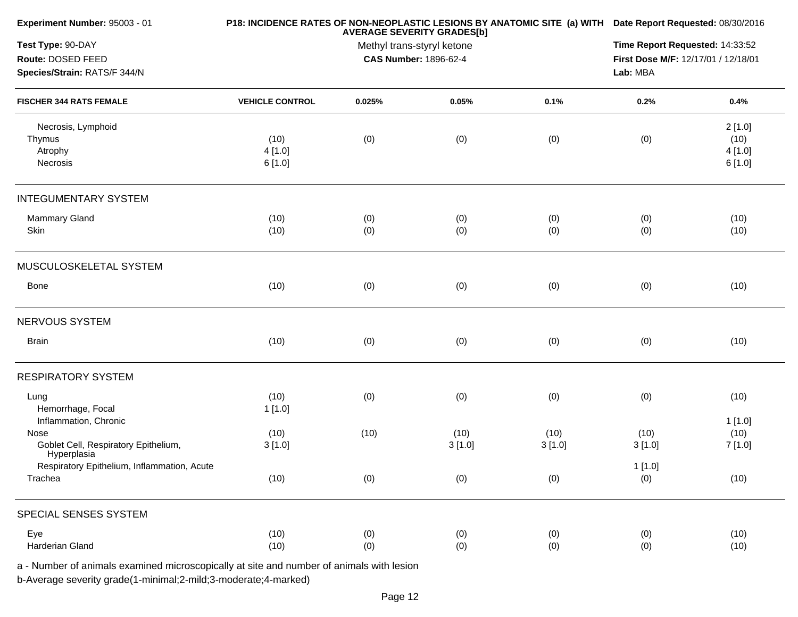| Experiment Number: 95003 - 01                                                            |                        | P18: INCIDENCE RATES OF NON-NEOPLASTIC LESIONS BY ANATOMIC SITE (a) WITH Date Report Requested: 08/30/2016 |        |        |          |         |
|------------------------------------------------------------------------------------------|------------------------|------------------------------------------------------------------------------------------------------------|--------|--------|----------|---------|
| Test Type: 90-DAY<br>Route: DOSED FEED                                                   |                        | Time Report Requested: 14:33:52<br>First Dose M/F: 12/17/01 / 12/18/01                                     |        |        |          |         |
| Species/Strain: RATS/F 344/N                                                             |                        |                                                                                                            |        |        | Lab: MBA |         |
| <b>FISCHER 344 RATS FEMALE</b>                                                           | <b>VEHICLE CONTROL</b> | 0.025%                                                                                                     | 0.05%  | 0.1%   | 0.2%     | 0.4%    |
| Necrosis, Lymphoid                                                                       |                        |                                                                                                            |        |        |          | 2[1.0]  |
| Thymus                                                                                   | (10)                   | (0)                                                                                                        | (0)    | (0)    | (0)      | (10)    |
| Atrophy                                                                                  | 4[1.0]                 |                                                                                                            |        |        |          | 4 [1.0] |
| Necrosis                                                                                 | 6 [1.0]                |                                                                                                            |        |        |          | 6[1.0]  |
| <b>INTEGUMENTARY SYSTEM</b>                                                              |                        |                                                                                                            |        |        |          |         |
| Mammary Gland                                                                            | (10)                   | (0)                                                                                                        | (0)    | (0)    | (0)      | (10)    |
| Skin                                                                                     | (10)                   | (0)                                                                                                        | (0)    | (0)    | (0)      | (10)    |
| MUSCULOSKELETAL SYSTEM                                                                   |                        |                                                                                                            |        |        |          |         |
| Bone                                                                                     | (10)                   | (0)                                                                                                        | (0)    | (0)    | (0)      | (10)    |
| NERVOUS SYSTEM                                                                           |                        |                                                                                                            |        |        |          |         |
| <b>Brain</b>                                                                             | (10)                   | (0)                                                                                                        | (0)    | (0)    | (0)      | (10)    |
| <b>RESPIRATORY SYSTEM</b>                                                                |                        |                                                                                                            |        |        |          |         |
| Lung                                                                                     | (10)                   | (0)                                                                                                        | (0)    | (0)    | (0)      | (10)    |
| Hemorrhage, Focal                                                                        | 1[1.0]                 |                                                                                                            |        |        |          |         |
| Inflammation, Chronic                                                                    |                        |                                                                                                            |        |        |          | 1[1.0]  |
| Nose                                                                                     | (10)                   | (10)                                                                                                       | (10)   | (10)   | (10)     | (10)    |
| Goblet Cell, Respiratory Epithelium,<br>Hyperplasia                                      | 3[1.0]                 |                                                                                                            | 3[1.0] | 3[1.0] | 3[1.0]   | 7 [1.0] |
| Respiratory Epithelium, Inflammation, Acute                                              |                        |                                                                                                            |        |        | 1[1.0]   |         |
| Trachea                                                                                  | (10)                   | (0)                                                                                                        | (0)    | (0)    | (0)      | (10)    |
| SPECIAL SENSES SYSTEM                                                                    |                        |                                                                                                            |        |        |          |         |
| Eye                                                                                      | (10)                   | (0)                                                                                                        | (0)    | (0)    | (0)      | (10)    |
| Harderian Gland                                                                          | (10)                   | (0)                                                                                                        | (0)    | (0)    | (0)      | (10)    |
| a - Number of animals examined microscopically at site and number of animals with lesion |                        |                                                                                                            |        |        |          |         |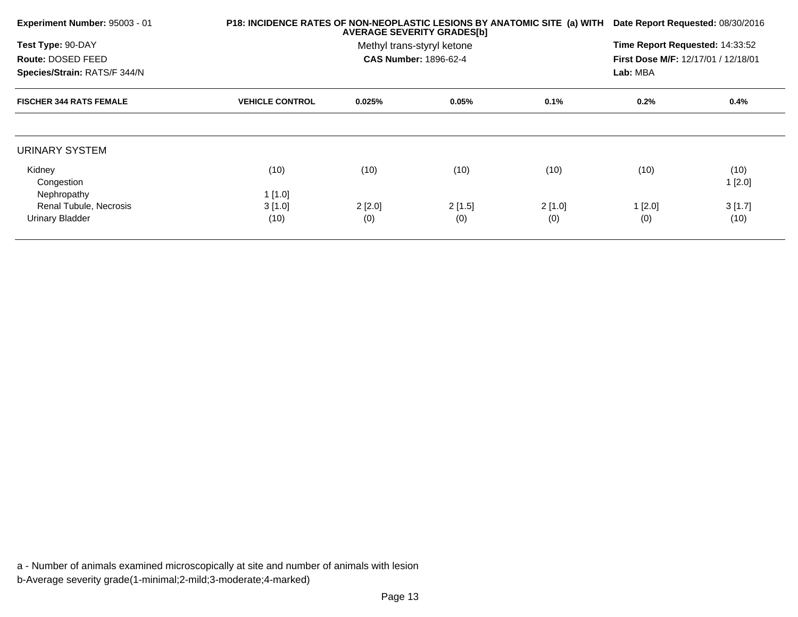| Experiment Number: 95003 - 01  | P18: INCIDENCE RATES OF NON-NEOPLASTIC LESIONS BY ANATOMIC SITE (a) WITH | Date Report Requested: 08/30/2016                                                                                                    |        |        |          |                |
|--------------------------------|--------------------------------------------------------------------------|--------------------------------------------------------------------------------------------------------------------------------------|--------|--------|----------|----------------|
| Test Type: 90-DAY              |                                                                          | Time Report Requested: 14:33:52<br>Methyl trans-styryl ketone<br><b>CAS Number: 1896-62-4</b><br>First Dose M/F: 12/17/01 / 12/18/01 |        |        |          |                |
| Route: DOSED FEED              |                                                                          |                                                                                                                                      |        |        |          |                |
| Species/Strain: RATS/F 344/N   |                                                                          |                                                                                                                                      |        |        | Lab: MBA |                |
| <b>FISCHER 344 RATS FEMALE</b> | <b>VEHICLE CONTROL</b>                                                   | 0.025%                                                                                                                               | 0.05%  | 0.1%   | 0.2%     | 0.4%           |
|                                |                                                                          |                                                                                                                                      |        |        |          |                |
| URINARY SYSTEM                 |                                                                          |                                                                                                                                      |        |        |          |                |
| Kidney<br>Congestion           | (10)                                                                     | (10)                                                                                                                                 | (10)   | (10)   | (10)     | (10)<br>1[2.0] |
| Nephropathy                    | 1[1.0]                                                                   |                                                                                                                                      |        |        |          |                |
| Renal Tubule, Necrosis         | 3[1.0]                                                                   | 2[2.0]                                                                                                                               | 2[1.5] | 2[1.0] | 1[2.0]   | 3[1.7]         |
| <b>Urinary Bladder</b>         | (10)                                                                     | (0)                                                                                                                                  | (0)    | (0)    | (0)      | (10)           |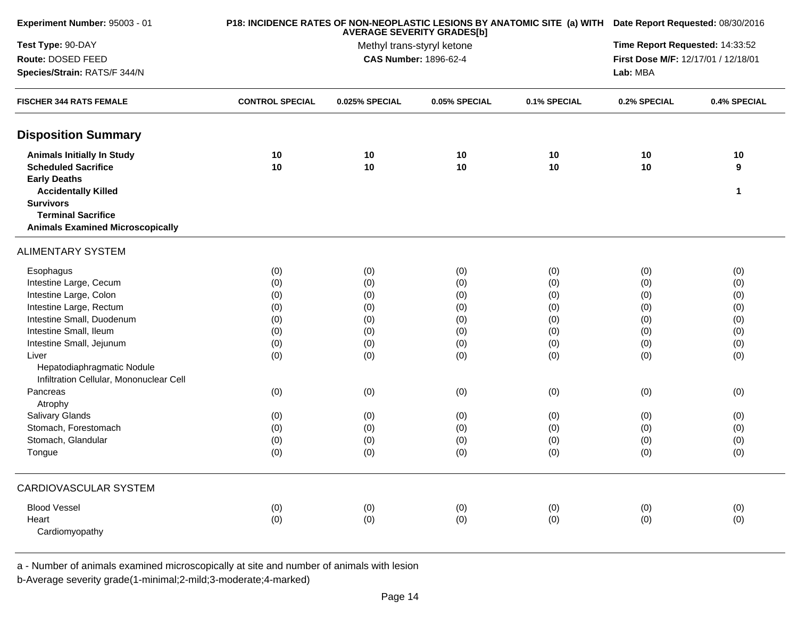| Experiment Number: 95003 - 01                                         |                        | P18: INCIDENCE RATES OF NON-NEOPLASTIC LESIONS BY ANATOMIC SITE (a) WITH Date Report Requested: 08/30/2016<br>Time Report Requested: 14:33:52 |               |              |                                     |              |  |
|-----------------------------------------------------------------------|------------------------|-----------------------------------------------------------------------------------------------------------------------------------------------|---------------|--------------|-------------------------------------|--------------|--|
| Test Type: 90-DAY                                                     |                        |                                                                                                                                               |               |              |                                     |              |  |
| Route: DOSED FEED                                                     |                        | CAS Number: 1896-62-4                                                                                                                         |               |              | First Dose M/F: 12/17/01 / 12/18/01 |              |  |
| Species/Strain: RATS/F 344/N                                          |                        |                                                                                                                                               |               |              | Lab: MBA                            |              |  |
| <b>FISCHER 344 RATS FEMALE</b>                                        | <b>CONTROL SPECIAL</b> | 0.025% SPECIAL                                                                                                                                | 0.05% SPECIAL | 0.1% SPECIAL | 0.2% SPECIAL                        | 0.4% SPECIAL |  |
| <b>Disposition Summary</b>                                            |                        |                                                                                                                                               |               |              |                                     |              |  |
| <b>Animals Initially In Study</b>                                     | 10                     | 10                                                                                                                                            | 10            | 10           | 10                                  | 10           |  |
| <b>Scheduled Sacrifice</b>                                            | 10                     | 10                                                                                                                                            | 10            | 10           | 10                                  | 9            |  |
| <b>Early Deaths</b>                                                   |                        |                                                                                                                                               |               |              |                                     |              |  |
| <b>Accidentally Killed</b>                                            |                        |                                                                                                                                               |               |              |                                     | 1            |  |
| <b>Survivors</b>                                                      |                        |                                                                                                                                               |               |              |                                     |              |  |
| <b>Terminal Sacrifice</b>                                             |                        |                                                                                                                                               |               |              |                                     |              |  |
| <b>Animals Examined Microscopically</b>                               |                        |                                                                                                                                               |               |              |                                     |              |  |
| <b>ALIMENTARY SYSTEM</b>                                              |                        |                                                                                                                                               |               |              |                                     |              |  |
| Esophagus                                                             | (0)                    | (0)                                                                                                                                           | (0)           | (0)          | (0)                                 | (0)          |  |
| Intestine Large, Cecum                                                | (0)                    | (0)                                                                                                                                           | (0)           | (0)          | (0)                                 | (0)          |  |
| Intestine Large, Colon                                                | (0)                    | (0)                                                                                                                                           | (0)           | (0)          | (0)                                 | (0)          |  |
| Intestine Large, Rectum                                               | (0)                    | (0)                                                                                                                                           | (0)           | (0)          | (0)                                 | (0)          |  |
| Intestine Small, Duodenum                                             | (0)                    | (0)                                                                                                                                           | (0)           | (0)          | (0)                                 | (0)          |  |
| Intestine Small, Ileum                                                | (0)                    | (0)                                                                                                                                           | (0)           | (0)          | (0)                                 | (0)          |  |
| Intestine Small, Jejunum                                              | (0)                    | (0)                                                                                                                                           | (0)           | (0)          | (0)                                 | (0)          |  |
| Liver                                                                 | (0)                    | (0)                                                                                                                                           | (0)           | (0)          | (0)                                 | (0)          |  |
| Hepatodiaphragmatic Nodule<br>Infiltration Cellular, Mononuclear Cell |                        |                                                                                                                                               |               |              |                                     |              |  |
| Pancreas                                                              | (0)                    | (0)                                                                                                                                           | (0)           | (0)          | (0)                                 | (0)          |  |
| Atrophy                                                               |                        |                                                                                                                                               |               |              |                                     |              |  |
| Salivary Glands                                                       | (0)                    | (0)                                                                                                                                           | (0)           | (0)          | (0)                                 | (0)          |  |
| Stomach, Forestomach                                                  | (0)                    | (0)                                                                                                                                           | (0)           | (0)          | (0)                                 | (0)          |  |
| Stomach, Glandular                                                    | (0)                    | (0)                                                                                                                                           | (0)           | (0)          | (0)                                 | (0)          |  |
| Tongue                                                                | (0)                    | (0)                                                                                                                                           | (0)           | (0)          | (0)                                 | (0)          |  |
| CARDIOVASCULAR SYSTEM                                                 |                        |                                                                                                                                               |               |              |                                     |              |  |
| <b>Blood Vessel</b>                                                   | (0)                    | (0)                                                                                                                                           | (0)           | (0)          | (0)                                 | (0)          |  |
| Heart                                                                 | (0)                    | (0)                                                                                                                                           | (0)           | (0)          | (0)                                 | (0)          |  |
| Cardiomyopathy                                                        |                        |                                                                                                                                               |               |              |                                     |              |  |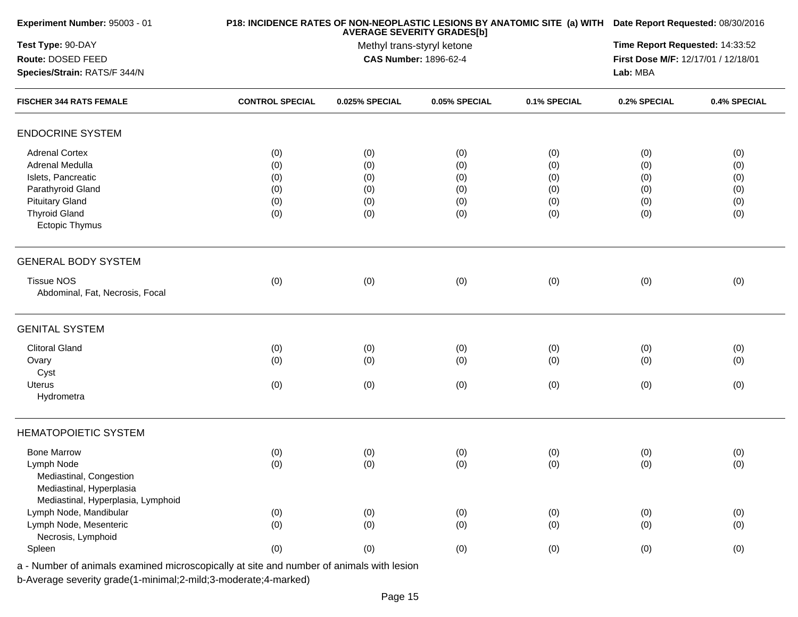|     | Time Report Requested: 14:33:52<br>First Dose M/F: 12/17/01 / 12/18/01         |                                                                        |                                                                                                                                                                          |                                                                      |                                                                                                                                                                                                |
|-----|--------------------------------------------------------------------------------|------------------------------------------------------------------------|--------------------------------------------------------------------------------------------------------------------------------------------------------------------------|----------------------------------------------------------------------|------------------------------------------------------------------------------------------------------------------------------------------------------------------------------------------------|
|     |                                                                                |                                                                        |                                                                                                                                                                          |                                                                      | 0.4% SPECIAL                                                                                                                                                                                   |
|     |                                                                                |                                                                        |                                                                                                                                                                          |                                                                      |                                                                                                                                                                                                |
|     |                                                                                |                                                                        |                                                                                                                                                                          |                                                                      |                                                                                                                                                                                                |
| (0) | (0)                                                                            | (0)                                                                    | (0)                                                                                                                                                                      | (0)                                                                  | (0)                                                                                                                                                                                            |
| (0) | (0)                                                                            | (0)                                                                    | (0)                                                                                                                                                                      | (0)                                                                  | (0)                                                                                                                                                                                            |
| (0) | (0)                                                                            | (0)                                                                    | (0)                                                                                                                                                                      | (0)                                                                  | (0)                                                                                                                                                                                            |
| (0) | (0)                                                                            | (0)                                                                    | (0)                                                                                                                                                                      | (0)                                                                  | (0)                                                                                                                                                                                            |
| (0) | (0)                                                                            | (0)                                                                    | (0)                                                                                                                                                                      | (0)                                                                  | (0)                                                                                                                                                                                            |
| (0) | (0)                                                                            | (0)                                                                    | (0)                                                                                                                                                                      | (0)                                                                  | (0)                                                                                                                                                                                            |
|     |                                                                                |                                                                        |                                                                                                                                                                          |                                                                      |                                                                                                                                                                                                |
|     |                                                                                |                                                                        |                                                                                                                                                                          |                                                                      |                                                                                                                                                                                                |
|     |                                                                                |                                                                        |                                                                                                                                                                          |                                                                      | (0)                                                                                                                                                                                            |
|     |                                                                                |                                                                        |                                                                                                                                                                          |                                                                      |                                                                                                                                                                                                |
|     |                                                                                |                                                                        |                                                                                                                                                                          |                                                                      |                                                                                                                                                                                                |
|     |                                                                                |                                                                        |                                                                                                                                                                          |                                                                      | (0)                                                                                                                                                                                            |
|     |                                                                                |                                                                        |                                                                                                                                                                          |                                                                      | (0)                                                                                                                                                                                            |
|     |                                                                                |                                                                        |                                                                                                                                                                          |                                                                      |                                                                                                                                                                                                |
|     |                                                                                |                                                                        |                                                                                                                                                                          |                                                                      | (0)                                                                                                                                                                                            |
|     |                                                                                |                                                                        |                                                                                                                                                                          |                                                                      |                                                                                                                                                                                                |
|     |                                                                                |                                                                        |                                                                                                                                                                          |                                                                      |                                                                                                                                                                                                |
|     |                                                                                |                                                                        |                                                                                                                                                                          |                                                                      | (0)                                                                                                                                                                                            |
|     |                                                                                |                                                                        |                                                                                                                                                                          |                                                                      | (0)                                                                                                                                                                                            |
|     |                                                                                |                                                                        |                                                                                                                                                                          |                                                                      |                                                                                                                                                                                                |
|     |                                                                                |                                                                        |                                                                                                                                                                          |                                                                      |                                                                                                                                                                                                |
|     |                                                                                |                                                                        |                                                                                                                                                                          |                                                                      |                                                                                                                                                                                                |
|     |                                                                                |                                                                        |                                                                                                                                                                          |                                                                      | (0)                                                                                                                                                                                            |
|     |                                                                                |                                                                        |                                                                                                                                                                          |                                                                      | (0)                                                                                                                                                                                            |
|     |                                                                                |                                                                        |                                                                                                                                                                          |                                                                      |                                                                                                                                                                                                |
| (0) | (0)                                                                            | (0)                                                                    | (0)                                                                                                                                                                      | (0)                                                                  | (0)                                                                                                                                                                                            |
|     | <b>CONTROL SPECIAL</b><br>(0)<br>(0)<br>(0)<br>(0)<br>(0)<br>(0)<br>(0)<br>(0) | 0.025% SPECIAL<br>(0)<br>(0)<br>(0)<br>(0)<br>(0)<br>(0)<br>(0)<br>(0) | <b>AVERAGE SEVERITY GRADES[b]</b><br>Methyl trans-styryl ketone<br><b>CAS Number: 1896-62-4</b><br>0.05% SPECIAL<br>(0)<br>(0)<br>(0)<br>(0)<br>(0)<br>(0)<br>(0)<br>(0) | 0.1% SPECIAL<br>(0)<br>(0)<br>(0)<br>(0)<br>(0)<br>(0)<br>(0)<br>(0) | P18: INCIDENCE RATES OF NON-NEOPLASTIC LESIONS BY ANATOMIC SITE (a) WITH Date Report Requested: 08/30/2016<br>Lab: MBA<br>0.2% SPECIAL<br>(0)<br>(0)<br>(0)<br>(0)<br>(0)<br>(0)<br>(0)<br>(0) |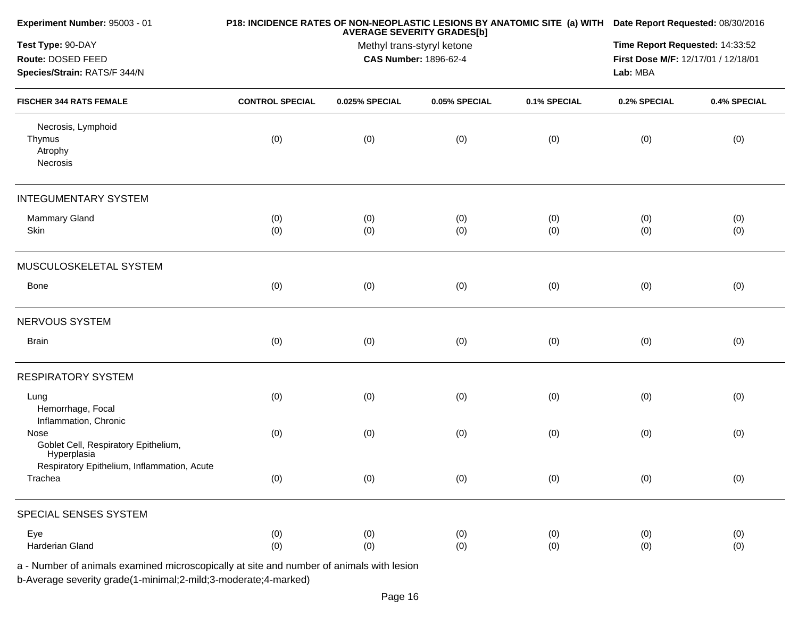| Experiment Number: 95003 - 01                                                            |                        | <b>AVERAGE SEVERITY GRADES[b]</b>                          | P18: INCIDENCE RATES OF NON-NEOPLASTIC LESIONS BY ANATOMIC SITE (a) WITH Date Report Requested: 08/30/2016<br>Time Report Requested: 14:33:52<br>First Dose M/F: 12/17/01 / 12/18/01<br>Lab: MBA |              |              |              |
|------------------------------------------------------------------------------------------|------------------------|------------------------------------------------------------|--------------------------------------------------------------------------------------------------------------------------------------------------------------------------------------------------|--------------|--------------|--------------|
| Test Type: 90-DAY<br>Route: DOSED FEED<br>Species/Strain: RATS/F 344/N                   |                        | Methyl trans-styryl ketone<br><b>CAS Number: 1896-62-4</b> |                                                                                                                                                                                                  |              |              |              |
| <b>FISCHER 344 RATS FEMALE</b>                                                           | <b>CONTROL SPECIAL</b> | 0.025% SPECIAL                                             | 0.05% SPECIAL                                                                                                                                                                                    | 0.1% SPECIAL | 0.2% SPECIAL | 0.4% SPECIAL |
| Necrosis, Lymphoid<br>Thymus<br>Atrophy<br>Necrosis                                      | (0)                    | (0)                                                        | (0)                                                                                                                                                                                              | (0)          | (0)          | (0)          |
| <b>INTEGUMENTARY SYSTEM</b>                                                              |                        |                                                            |                                                                                                                                                                                                  |              |              |              |
| <b>Mammary Gland</b><br>Skin                                                             | (0)<br>(0)             | (0)<br>(0)                                                 | (0)<br>(0)                                                                                                                                                                                       | (0)<br>(0)   | (0)<br>(0)   | (0)<br>(0)   |
| MUSCULOSKELETAL SYSTEM                                                                   |                        |                                                            |                                                                                                                                                                                                  |              |              |              |
| Bone                                                                                     | (0)                    | (0)                                                        | (0)                                                                                                                                                                                              | (0)          | (0)          | (0)          |
| NERVOUS SYSTEM                                                                           |                        |                                                            |                                                                                                                                                                                                  |              |              |              |
| <b>Brain</b>                                                                             | (0)                    | (0)                                                        | (0)                                                                                                                                                                                              | (0)          | (0)          | (0)          |
| <b>RESPIRATORY SYSTEM</b>                                                                |                        |                                                            |                                                                                                                                                                                                  |              |              |              |
| Lung<br>Hemorrhage, Focal<br>Inflammation, Chronic                                       | (0)                    | (0)                                                        | (0)                                                                                                                                                                                              | (0)          | (0)          | (0)          |
| Nose<br>Goblet Cell, Respiratory Epithelium,<br>Hyperplasia                              | (0)                    | (0)                                                        | (0)                                                                                                                                                                                              | (0)          | (0)          | (0)          |
| Respiratory Epithelium, Inflammation, Acute<br>Trachea                                   | (0)                    | (0)                                                        | (0)                                                                                                                                                                                              | (0)          | (0)          | (0)          |
| SPECIAL SENSES SYSTEM                                                                    |                        |                                                            |                                                                                                                                                                                                  |              |              |              |
| Eye<br>Harderian Gland                                                                   | (0)<br>(0)             | (0)<br>(0)                                                 | (0)<br>(0)                                                                                                                                                                                       | (0)<br>(0)   | (0)<br>(0)   | (0)<br>(0)   |
| a - Number of animals examined microscopically at site and number of animals with lesion |                        |                                                            |                                                                                                                                                                                                  |              |              |              |